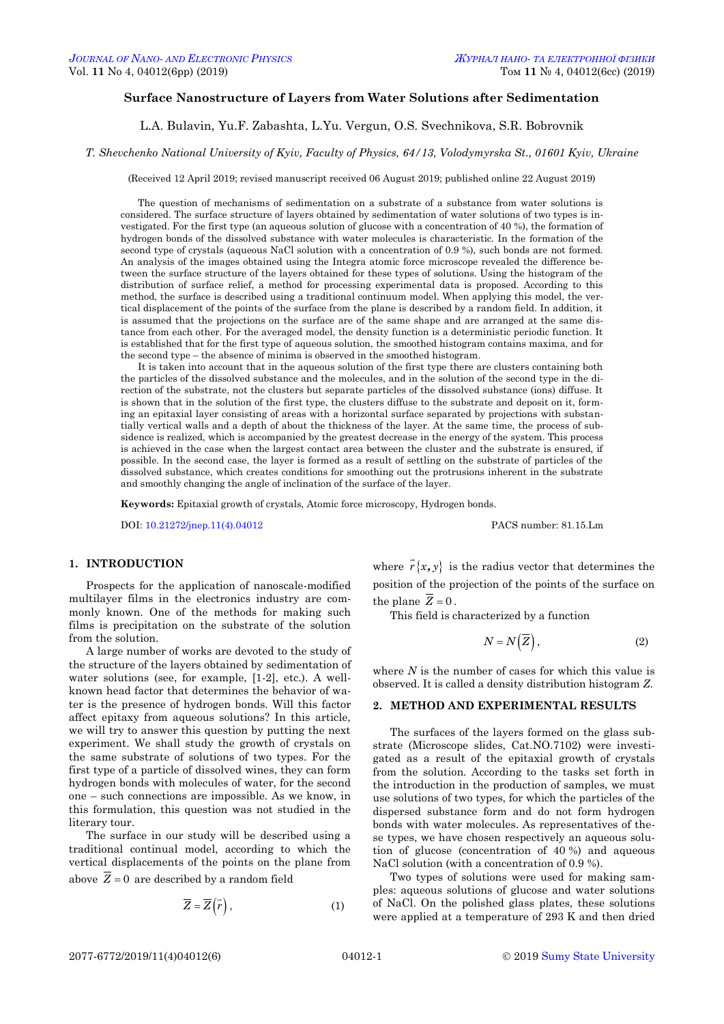# **Surface Nanostructure of Layers from Water Solutions after Sedimentation**

L.A. Bulavin, Yu.F. Zabashta, L.Yu. Vergun, O.S. Svechnikova, S.R. Bobrovnik

*T. Shevchenko National University of Kyiv, Faculty of Physics, 64/13, Volodymyrska St., 01601 Kyiv, Ukraine*

(Received 12 April 2019; revised manuscript received 06 August 2019; published online 22 August 2019)

The question of mechanisms of sedimentation on a substrate of a substance from water solutions is considered. The surface structure of layers obtained by sedimentation of water solutions of two types is investigated. For the first type (an aqueous solution of glucose with a concentration of 40 %), the formation of hydrogen bonds of the dissolved substance with water molecules is characteristic. In the formation of the second type of crystals (aqueous NaCl solution with a concentration of 0.9 %), such bonds are not formed. An analysis of the images obtained using the Integra atomic force microscope revealed the difference between the surface structure of the layers obtained for these types of solutions. Using the histogram of the distribution of surface relief, a method for processing experimental data is proposed. According to this method, the surface is described using a traditional continuum model. When applying this model, the vertical displacement of the points of the surface from the plane is described by a random field. In addition, it is assumed that the projections on the surface are of the same shape and are arranged at the same distance from each other. For the averaged model, the density function is a deterministic periodic function. It is established that for the first type of aqueous solution, the smoothed histogram contains maxima, and for the second type – the absence of minima is observed in the smoothed histogram.

It is taken into account that in the aqueous solution of the first type there are clusters containing both the particles of the dissolved substance and the molecules, and in the solution of the second type in the direction of the substrate, not the clusters but separate particles of the dissolved substance (ions) diffuse. It is shown that in the solution of the first type, the clusters diffuse to the substrate and deposit on it, forming an epitaxial layer consisting of areas with a horizontal surface separated by projections with substantially vertical walls and a depth of about the thickness of the layer. At the same time, the process of subsidence is realized, which is accompanied by the greatest decrease in the energy of the system. This process is achieved in the case when the largest contact area between the cluster and the substrate is ensured, if possible. In the second case, the layer is formed as a result of settling on the substrate of particles of the dissolved substance, which creates conditions for smoothing out the protrusions inherent in the substrate and smoothly changing the angle of inclination of the surface of the layer.

**Keywords:** Epitaxial growth of crystals, Atomic force microscopy, Hydrogen bonds.

DOI[: 10.21272/jnep.11\(4\).04012](https://doi.org/10.21272/jnep.11(4).04012) PACS number: 81.15.Lm

## **1. INTRODUCTION**

Prospects for the application of nanoscale-modified multilayer films in the electronics industry are commonly known. One of the methods for making such films is precipitation on the substrate of the solution from the solution.

A large number of works are devoted to the study of the structure of the layers obtained by sedimentation of water solutions (see, for example, [1-2], etc.). A wellknown head factor that determines the behavior of water is the presence of hydrogen bonds. Will this factor affect epitaxy from aqueous solutions? In this article, we will try to answer this question by putting the next experiment. We shall study the growth of crystals on the same substrate of solutions of two types. For the first type of a particle of dissolved wines, they can form hydrogen bonds with molecules of water, for the second one – such connections are impossible. As we know, in this formulation, this question was not studied in the literary tour.

The surface in our study will be described using a traditional continual model, according to which the vertical displacements of the points on the plane from above  $Z = 0$  are described by a random field

<span id="page-0-3"></span><span id="page-0-2"></span><span id="page-0-1"></span><span id="page-0-0"></span>
$$
\overline{Z} = \overline{Z}(\overline{r}),\tag{1}
$$

where  $r\{x, y\}$  is the radius vector that determines the position of the projection of the points of the surface on the plane  $Z = 0$ .

This field is characterized by a function

$$
N = N(\overline{Z}), \tag{2}
$$

where *N* is the number of cases for which this value is observed. It is called a density distribution histogram *Z*.

## **2. METHOD AND EXPERIMENTAL RESULTS**

The surfaces of the layers formed on the glass substrate (Microscope slides, Cat.NO.7102) were investigated as a result of the epitaxial growth of crystals from the solution. According to the tasks set forth in the introduction in the production of samples, we must use solutions of two types, for which the particles of the dispersed substance form and do not form hydrogen bonds with water molecules. As representatives of these types, we have chosen respectively an aqueous solution of glucose (concentration of 40 %) and aqueous NaCl solution (with a concentration of 0.9 %).

Two types of solutions were used for making samples: aqueous solutions of glucose and water solutions of NaCl. On the polished glass plates, these solutions were applied at a temperature of 293 K and then dried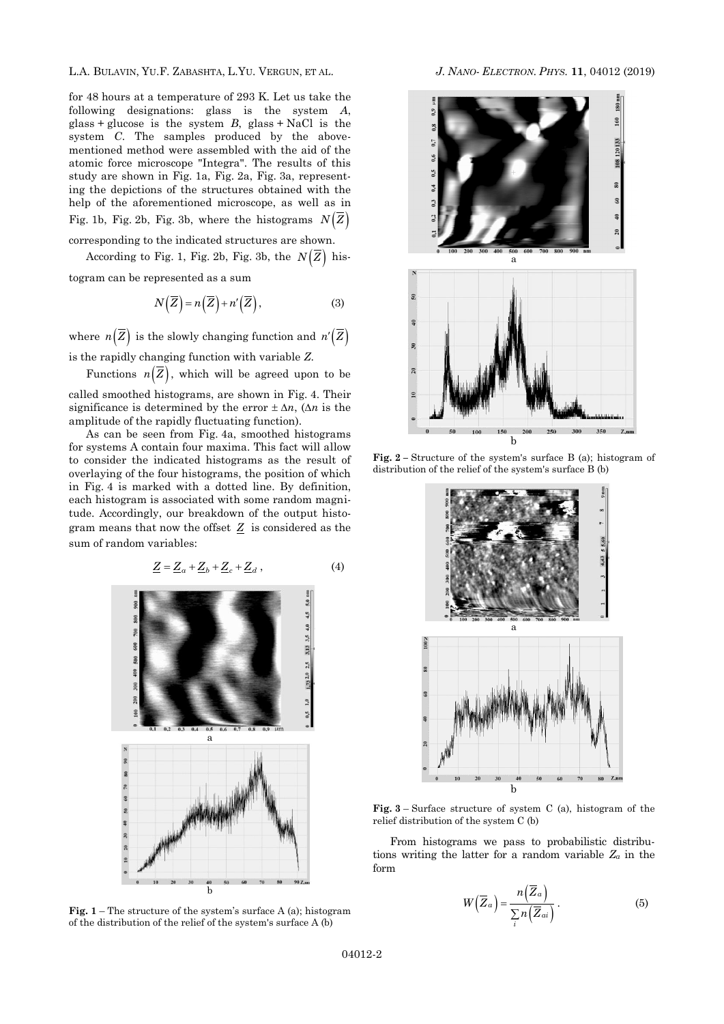L.A. BULAVIN, YU.F. ZABASHTA, L.YU. VERGUN, ET AL. *J. NANO- ELECTRON. PHYS.* **[11](#page-0-2)**, [04012](#page-0-2) [\(2019\)](#page-0-2)

for 48 hours at a temperature of 293 K. Let us take the following designations: glass is the system *A*, glass + glucose is the system  $B$ , glass + NaCl is the system *C*. The samples produced by the abovementioned method were assembled with the aid of the atomic force microscope "Integra". The results of this study are shown in Fig. 1a, Fig. 2a, Fig. 3a, representing the depictions of the structures obtained with the help of the aforementioned microscope, as well as in Fig. 1b, Fig. 2b, Fig. 3b, where the histograms  $N(Z)$ corresponding to the indicated structures are shown.

According to Fig. 1, Fig. 2b, Fig. 3b, the  $N(Z)$  his-

togram can be represented as a sum

$$
N(\overline{Z}) = n(\overline{Z}) + n'(\overline{Z}), \tag{3}
$$

where  $n(Z)$  is the slowly changing function and  $n'(Z)$ 

is the rapidly changing function with variable *Z*.

Functions  $n(Z)$ , which will be agreed upon to be

called smoothed histograms, are shown in Fig. 4. Their significance is determined by the error  $\pm \Delta n$ , ( $\Delta n$  is the amplitude of the rapidly fluctuating function).

As can be seen from Fig. 4a, smoothed histograms for systems A contain four maxima. This fact will allow to consider the indicated histograms as the result of overlaying of the four histograms, the position of which in Fig. 4 is marked with a dotted line. By definition, each histogram is associated with some random magnitude. Accordingly, our breakdown of the output histogram means that now the offset *Z* is considered as the sum of random variables:

$$
\underline{Z} = \underline{Z}_a + \underline{Z}_b + \underline{Z}_c + \underline{Z}_d , \qquad (4)
$$



**Fig. 1** – The structure of the system's surface A (a); histogram of the distribution of the relief of the system's surface A (b)



**Fig. 2 –** Structure of the system's surface B (a); histogram of distribution of the relief of the system's surface B (b)



**Fig. 3** – Surface structure of system C (a), histogram of the relief distribution of the system C (b)

From histograms we pass to probabilistic distributions writing the latter for a random variable *Z<sup>a</sup>* in the form

$$
W\left(\overline{Z}_{a}\right) = \frac{n\left(\overline{Z}_{a}\right)}{\sum_{i} n\left(\overline{Z}_{ai}\right)}.
$$
 (5)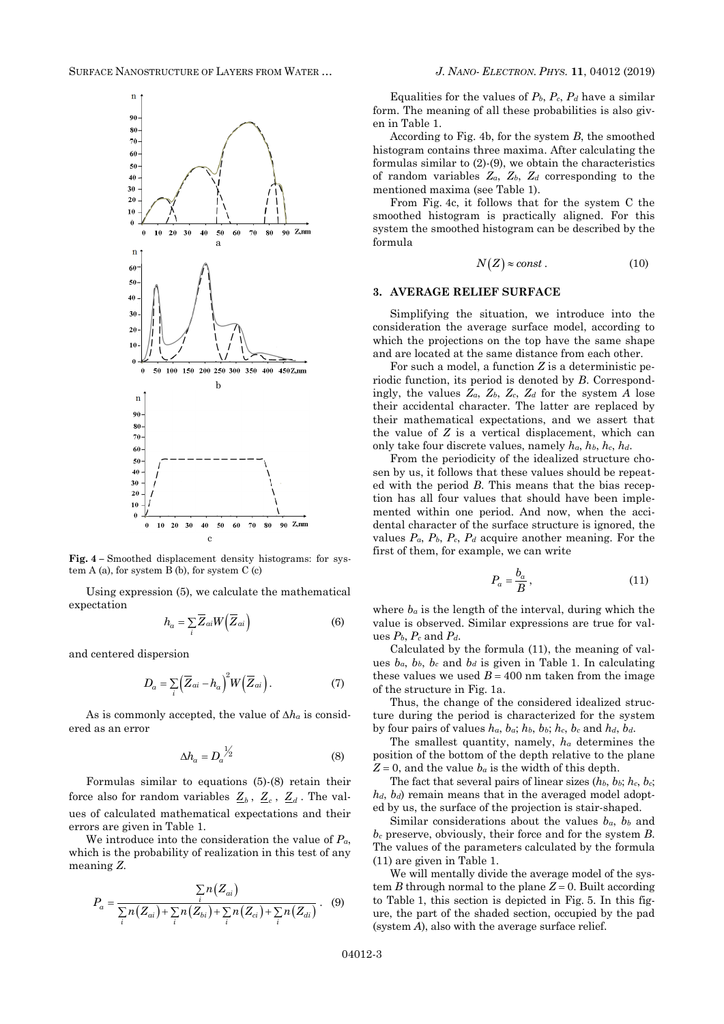

**Fig. 4 –** Smoothed displacement density histograms: for system  $A$  (a), for system  $B$  (b), for system  $C$  (c)

Using expression (5), we calculate the mathematical expectation

$$
h_a = \sum_{i} \overline{Z}_{ai} W(\overline{Z}_{ai})
$$
 (6)

and centered dispersion

$$
D_a = \sum_{i} \left(\overline{Z}_{ai} - h_a\right)^2 W\left(\overline{Z}_{ai}\right). \tag{7}
$$

As is commonly accepted, the value of  $\Delta h_a$  is considered as an error

$$
\Delta h_a = D_a^{\frac{1}{2}} \tag{8}
$$

Formulas similar to equations (5)-(8) retain their force also for random variables  $\underline{Z}_b$ ,  $\underline{Z}_c$ ,  $\underline{Z}_d$ . The values of calculated mathematical expectations and their errors are given in Table 1.

We introduce into the consideration the value of *Pa*, which is the probability of realization in this test of any meaning *Z*.

$$
P_a = \frac{\sum_{i} n(Z_{ai})}{\sum_{i} n(Z_{ai}) + \sum_{i} n(Z_{bi}) + \sum_{i} n(Z_{ci}) + \sum_{i} n(Z_{di})}.
$$
 (9)

Equalities for the values of  $P_b$ ,  $P_c$ ,  $P_d$  have a similar form. The meaning of all these probabilities is also given in Table 1.

According to Fig. 4b, for the system *B*, the smoothed histogram contains three maxima. After calculating the formulas similar to (2)-(9), we obtain the characteristics of random variables *Za*, *Zb*, *Z<sup>d</sup>* corresponding to the mentioned maxima (see Table 1).

From Fig. 4c, it follows that for the system C the smoothed histogram is practically aligned. For this system the smoothed histogram can be described by the formula

$$
N(Z) \approx const.
$$
 (10)

## **3. AVERAGE RELIEF SURFACE**

Simplifying the situation, we introduce into the consideration the average surface model, according to which the projections on the top have the same shape and are located at the same distance from each other.

For such a model, a function *Z* is a deterministic periodic function, its period is denoted by *B*. Correspondingly, the values  $Z_a$ ,  $Z_b$ ,  $Z_c$ ,  $Z_d$  for the system *A* lose their accidental character. The latter are replaced by their mathematical expectations, and we assert that the value of *Z* is a vertical displacement, which can only take four discrete values, namely *ha*, *hb*, *hc*, *hd*.

From the periodicity of the idealized structure chosen by us, it follows that these values should be repeated with the period *B*. This means that the bias reception has all four values that should have been implemented within one period. And now, when the accidental character of the surface structure is ignored, the values  $P_a$ ,  $P_b$ ,  $P_c$ ,  $P_d$  acquire another meaning. For the first of them, for example, we can write

$$
P_a = \frac{b_a}{B},\tag{11}
$$

where  $b_a$  is the length of the interval, during which the value is observed. Similar expressions are true for values  $P_b$ ,  $P_c$  and  $P_d$ .

Calculated by the formula (11), the meaning of values  $b_a$ ,  $b_b$ ,  $b_c$  and  $b_d$  is given in Table 1. In calculating these values we used  $B = 400$  nm taken from the image of the structure in Fig. 1a.

Thus, the change of the considered idealized structure during the period is characterized for the system by four pairs of values *ha*, *ba*; *hb*, *bb*; *hc*, *b<sup>c</sup>* and *hd*, *bd*.

The smallest quantity, namely, *h<sup>a</sup>* determines the position of the bottom of the depth relative to the plane  $Z = 0$ , and the value  $b_a$  is the width of this depth.

The fact that several pairs of linear sizes (*hb*, *bb*; *hc*, *bc*;  $h_d$ ,  $b_d$ ) remain means that in the averaged model adopted by us, the surface of the projection is stair-shaped.

Similar considerations about the values  $b_a$ ,  $b_b$  and *b<sup>c</sup>* preserve, obviously, their force and for the system *B*. The values of the parameters calculated by the formula (11) are given in Table 1.

We will mentally divide the average model of the system *B* through normal to the plane  $Z = 0$ . Built according to Table 1, this section is depicted in Fig. 5. In this figure, the part of the shaded section, occupied by the pad (system *A*), also with the average surface relief.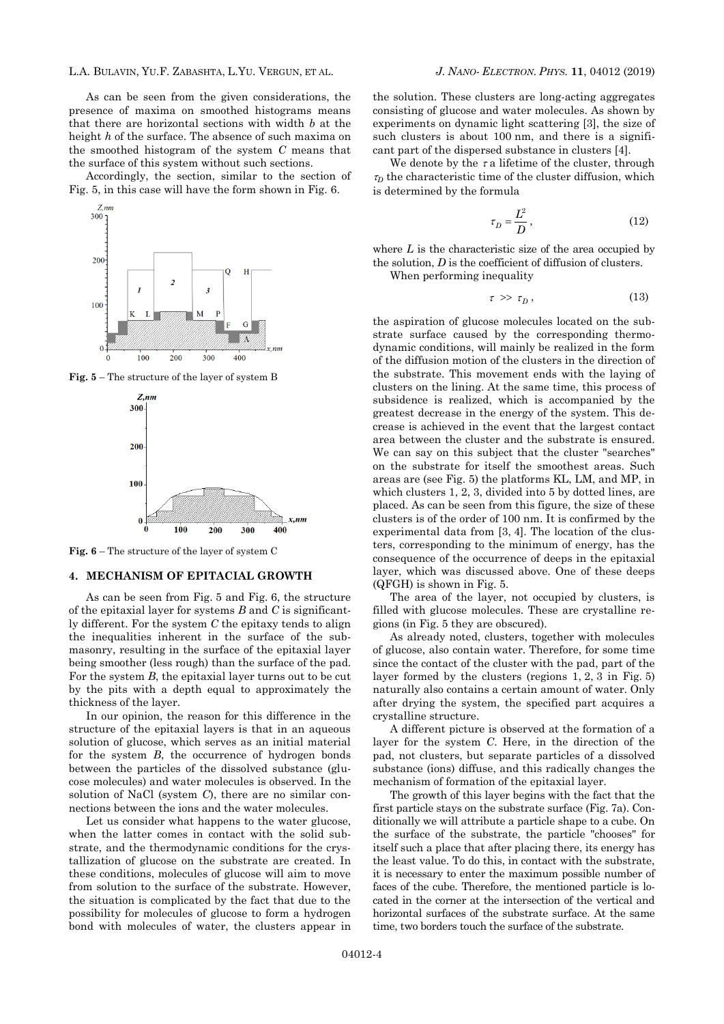L.A. BULAVIN, YU.F. ZABASHTA, L.YU. VERGUN, ET AL. *J. NANO- ELECTRON. PHYS.* **[11](#page-0-2)**, [04012](#page-0-2) [\(2019\)](#page-0-2)

As can be seen from the given considerations, the presence of maxima on smoothed histograms means that there are horizontal sections with width *b* at the height *h* of the surface. The absence of such maxima on the smoothed histogram of the system *C* means that the surface of this system without such sections.

Accordingly, the section, similar to the section of Fig. 5, in this case will have the form shown in Fig. 6.



**Fig. 5** – The structure of the layer of system B



**Fig. 6** – The structure of the layer of system C

#### **4. MECHANISM OF EPITACIAL GROWTH**

As can be seen from Fig. 5 and Fig. 6, the structure of the epitaxial layer for systems *B* and *C* is significantly different. For the system *C* the epitaxy tends to align the inequalities inherent in the surface of the submasonry, resulting in the surface of the epitaxial layer being smoother (less rough) than the surface of the pad. For the system *B*, the epitaxial layer turns out to be cut by the pits with a depth equal to approximately the thickness of the layer.

In our opinion, the reason for this difference in the structure of the epitaxial layers is that in an aqueous solution of glucose, which serves as an initial material for the system *B*, the occurrence of hydrogen bonds between the particles of the dissolved substance (glucose molecules) and water molecules is observed. In the solution of NaCl (system *C*), there are no similar connections between the ions and the water molecules.

Let us consider what happens to the water glucose, when the latter comes in contact with the solid substrate, and the thermodynamic conditions for the crystallization of glucose on the substrate are created. In these conditions, molecules of glucose will aim to move from solution to the surface of the substrate. However, the situation is complicated by the fact that due to the possibility for molecules of glucose to form a hydrogen bond with molecules of water, the clusters appear in

the solution. These clusters are long-acting aggregates consisting of glucose and water molecules. As shown by experiments on dynamic light scattering [3], the size of such clusters is about 100 nm, and there is a significant part of the dispersed substance in clusters [4].

We denote by the  $\tau$  a lifetime of the cluster, through  $\tau_D$  the characteristic time of the cluster diffusion, which is determined by the formula

$$
\tau_D = \frac{L^2}{D},\tag{12}
$$

where L is the characteristic size of the area occupied by the solution, *D* is the coefficient of diffusion of clusters. When performing inequality

$$
\tau \gg \tau_D \,, \tag{13}
$$

the aspiration of glucose molecules located on the substrate surface caused by the corresponding thermodynamic conditions, will mainly be realized in the form of the diffusion motion of the clusters in the direction of the substrate. This movement ends with the laying of clusters on the lining. At the same time, this process of subsidence is realized, which is accompanied by the greatest decrease in the energy of the system. This decrease is achieved in the event that the largest contact area between the cluster and the substrate is ensured. We can say on this subject that the cluster "searches" on the substrate for itself the smoothest areas. Such areas are (see Fig. 5) the platforms KL, LM, and MP, in which clusters 1, 2, 3, divided into 5 by dotted lines, are placed. As can be seen from this figure, the size of these clusters is of the order of 100 nm. It is confirmed by the experimental data from [3, 4]. The location of the clusters, corresponding to the minimum of energy, has the consequence of the occurrence of deeps in the epitaxial layer, which was discussed above. One of these deeps (QFGH) is shown in Fig. 5.

The area of the layer, not occupied by clusters, is filled with glucose molecules. These are crystalline regions (in Fig. 5 they are obscured).

As already noted, clusters, together with molecules of glucose, also contain water. Therefore, for some time since the contact of the cluster with the pad, part of the layer formed by the clusters (regions 1, 2, 3 in Fig. 5) naturally also contains a certain amount of water. Only after drying the system, the specified part acquires a crystalline structure.

A different picture is observed at the formation of a layer for the system *C*. Here, in the direction of the pad, not clusters, but separate particles of a dissolved substance (ions) diffuse, and this radically changes the mechanism of formation of the epitaxial layer.

The growth of this layer begins with the fact that the first particle stays on the substrate surface (Fig. 7a). Conditionally we will attribute a particle shape to a cube. On the surface of the substrate, the particle "chooses" for itself such a place that after placing there, its energy has the least value. To do this, in contact with the substrate, it is necessary to enter the maximum possible number of faces of the cube. Therefore, the mentioned particle is located in the corner at the intersection of the vertical and horizontal surfaces of the substrate surface. At the same time, two borders touch the surface of the substrate.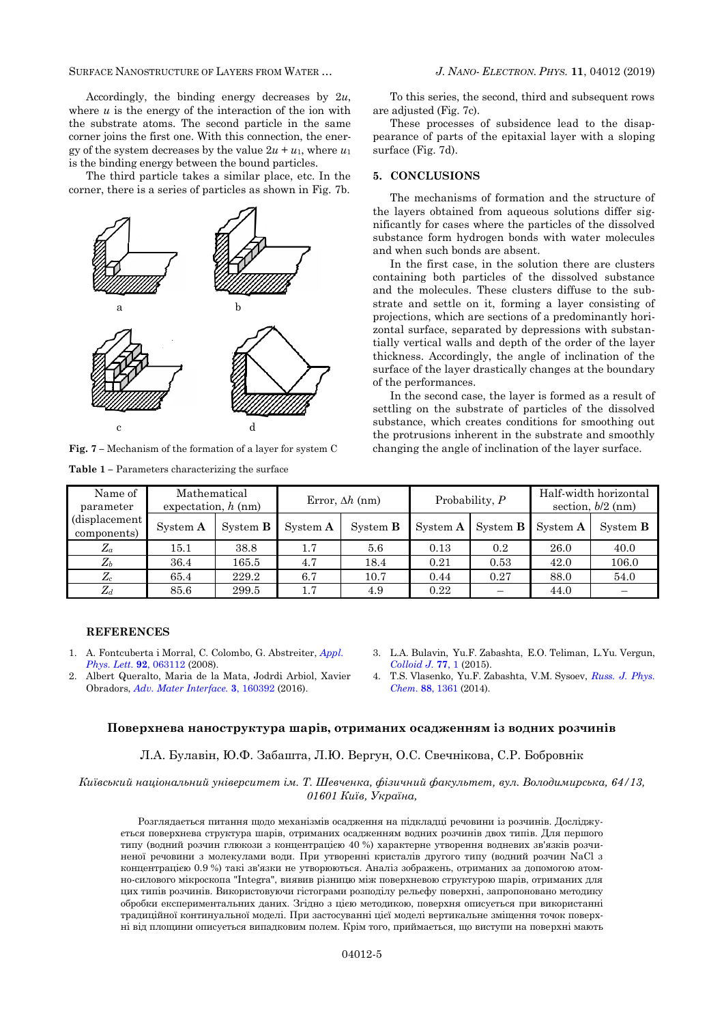SURFACE NANOSTRUCTURE OF LAYERS FROM WATER … *J. NANO- ELECTRON. PHYS.* **[11](#page-0-2)**, [04012](#page-0-2) [\(2019\)](#page-0-2)

Accordingly, the binding energy decreases by 2*u*, where  $u$  is the energy of the interaction of the ion with the substrate atoms. The second particle in the same corner joins the first one. With this connection, the energy of the system decreases by the value  $2u + u_1$ , where  $u_1$ is the binding energy between the bound particles.

The third particle takes a similar place, etc. In the corner, there is a series of particles as shown in Fig. 7b.



**Fig. 7 –** Mechanism of the formation of a layer for system C

**Table 1 –** Parameters characterizing the surface

To this series, the second, third and subsequent rows are adjusted (Fig. 7c).

These processes of subsidence lead to the disappearance of parts of the epitaxial layer with a sloping surface (Fig. 7d).

# **5. CONCLUSIONS**

The mechanisms of formation and the structure of the layers obtained from aqueous solutions differ significantly for cases where the particles of the dissolved substance form hydrogen bonds with water molecules and when such bonds are absent.

In the first case, in the solution there are clusters containing both particles of the dissolved substance and the molecules. These clusters diffuse to the substrate and settle on it, forming a layer consisting of projections, which are sections of a predominantly horizontal surface, separated by depressions with substantially vertical walls and depth of the order of the layer thickness. Accordingly, the angle of inclination of the surface of the layer drastically changes at the boundary of the performances.

In the second case, the layer is formed as a result of settling on the substrate of particles of the dissolved substance, which creates conditions for smoothing out the protrusions inherent in the substrate and smoothly changing the angle of inclination of the layer surface.

| Name of<br>parameter<br>(displacement)<br>components) | Mathematical<br>expectation, $h$ (nm) |                 | Error, $\Delta h$ (nm) |                 | Probability, $P$ |                 | Half-width horizontal<br>section, $b/2$ (nm) |                 |
|-------------------------------------------------------|---------------------------------------|-----------------|------------------------|-----------------|------------------|-----------------|----------------------------------------------|-----------------|
|                                                       | System A                              | System <b>B</b> | System A               | System <b>B</b> | System A         | System <b>B</b> | System A                                     | System <b>B</b> |
| $Z_a$                                                 | 15.1                                  | 38.8            | 1.7                    | 5.6             | 0.13             | 0.2             | 26.0                                         | 40.0            |
| $Z_b$                                                 | 36.4                                  | $165.5\,$       | 4.7                    | 18.4            | 0.21             | 0.53            | 42.0                                         | 106.0           |
| $Z_c$                                                 | 65.4                                  | 229.2           | 6.7                    | 10.7            | 0.44             | 0.27            | 88.0                                         | 54.0            |
| $Z_d$                                                 | 85.6                                  | 299.5           | 1.7                    | 4.9             | 0.22             |                 | 44.0                                         |                 |

## **REFERENCES**

- 1. A. Fontcuberta i Morral, C. Colombo, G. Abstreiter, *[Appl.](https://doi.org/10.1063/1.2837191) Phys. Lett.* **92**, [063112](https://doi.org/10.1063/1.2837191) (2008).
- 2. Albert Queralto, Maria de la Mata, Jodrdi Arbiol, Xavier Obradors, *Adv. [Mater Interface.](https://doi.org/10.1002/admi.201600392)* **3**, 160392 (2016).
- 3. L.A. Bulavin, Yu.F. Zabashta, E.O. Teliman, L.Yu. Vergun, *[Colloid J.](https://doi.org/10.1134/S1061933X15030047)* **77**, 1 (2015).
- 4. T.S. Vlasenko, Yu.F. Zabashta, V.M. Sysoev, *[Russ.](https://doi.org/10.1134/S0036024414080329) J. Phys. [Chem.](https://doi.org/10.1134/S0036024414080329)* **88**, 1361 (2014).

## **Поверхнева наноструктура шарів, отриманих осадженням із водних розчинів**

Л.А. Булавін, Ю.Ф. Забашта, Л.Ю. Вергун, О.С. Свечнікова, С.Р. Бобровнік

*Київський національний університет ім. Т. Шевченка, фізичний факультет, вул. Володимирська, 64/13, 01601 Київ, Україна,*

Розглядається питання щодо механізмів осадження на підкладці речовини із розчинів. Досліджується поверхнева структура шарів, отриманих осадженням водних розчинів двох типів. Для першого типу (водний розчин глюкози з концентрацією 40 %) характерне утворення водневих зв'язків розчиненої речовини з молекулами води. При утворенні кристалів другого типу (водний розчин NaCl з концентрацією 0.9 %) такі зв'язки не утворюються. Аналіз зображень, отриманих за допомогою атомно-силового мікроскопа "Integra", виявив різницю між поверхневою структурою шарів, отриманих для цих типів розчинів. Використовуючи гістограми розподілу рельєфу поверхні, запропоновано методику обробки експериментальних даних. Згідно з цією методикою, поверхня описується при використанні традиційної континуальної моделі. При застосуванні цієї моделі вертикальне зміщення точок поверхні від площини описується випадковим полем. Крім того, приймається, що виступи на поверхні мають